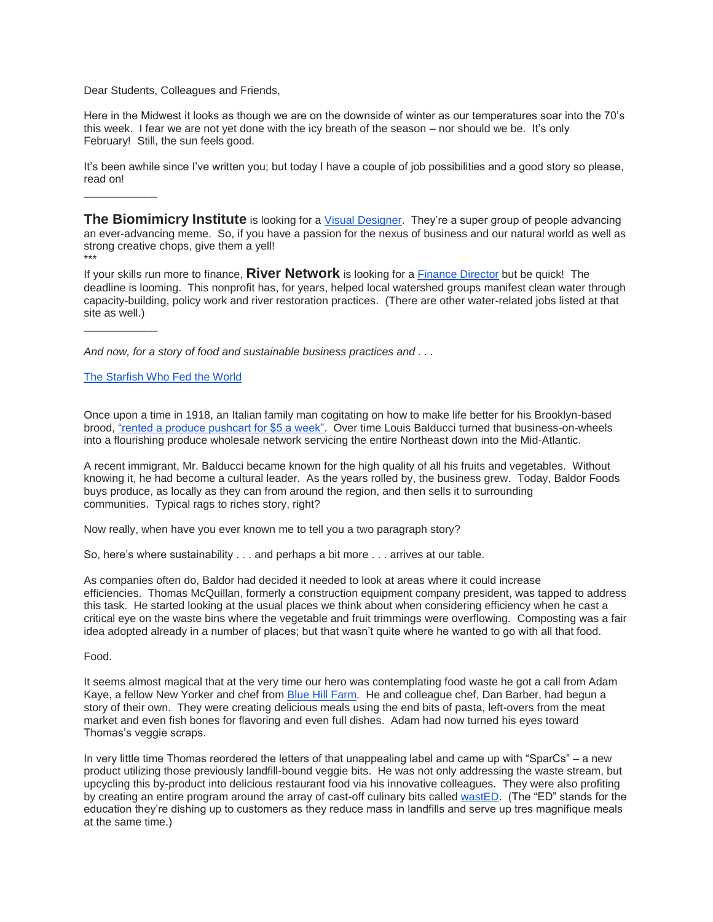Dear Students, Colleagues and Friends,

Here in the Midwest it looks as though we are on the downside of winter as our temperatures soar into the 70's this week. I fear we are not yet done with the icy breath of the season – nor should we be. It's only February! Still, the sun feels good.

It's been awhile since I've written you; but today I have a couple of job possibilities and a good story so please, read on!

**The Biomimicry Institute** is looking for a [Visual Designer.](http://biomimicry.org/careers/#.VsYDTPkrLcs) They're a super group of people advancing an ever-advancing meme. So, if you have a passion for the nexus of business and our natural world as well as strong creative chops, give them a yell! \*\*\*

If your skills run more to finance, **River Network** is looking for a [Finance Director](https://www.rivernetwork.org/get-involved/job-board/#1452751809933-a2eb40b9-272d) but be quick! The deadline is looming. This nonprofit has, for years, helped local watershed groups manifest clean water through capacity-building, policy work and river restoration practices. (There are other water-related jobs listed at that site as well.)

*And now, for a story of food and sustainable business practices and . . .*

## [The Starfish Who Fed the World](https://www.linkedin.com/pulse/starfish-who-fed-world-margo-farnsworth?published=t)

\_\_\_\_\_\_\_\_\_\_\_\_

\_\_\_\_\_\_\_\_\_\_\_\_

Once upon a time in 1918, an Italian family man cogitating on how to make life better for his Brooklyn-based brood, ["rented a produce pushcart for \\$5 a week".](http://www.baldorfood.com/about-baldor/history) Over time Louis Balducci turned that business-on-wheels into a flourishing produce wholesale network servicing the entire Northeast down into the Mid-Atlantic.

A recent immigrant, Mr. Balducci became known for the high quality of all his fruits and vegetables. Without knowing it, he had become a cultural leader. As the years rolled by, the business grew. Today, Baldor Foods buys produce, as locally as they can from around the region, and then sells it to surrounding communities. Typical rags to riches story, right?

Now really, when have you ever known me to tell you a two paragraph story?

So, here's where sustainability . . . and perhaps a bit more . . . arrives at our table.

As companies often do, Baldor had decided it needed to look at areas where it could increase efficiencies. Thomas McQuillan, formerly a construction equipment company president, was tapped to address this task. He started looking at the usual places we think about when considering efficiency when he cast a critical eye on the waste bins where the vegetable and fruit trimmings were overflowing. Composting was a fair idea adopted already in a number of places; but that wasn't quite where he wanted to go with all that food.

## Food.

It seems almost magical that at the very time our hero was contemplating food waste he got a call from Adam Kaye, a fellow New Yorker and chef from [Blue Hill Farm.](https://www.bluehillfarm.com/) He and colleague chef, Dan Barber, had begun a story of their own. They were creating delicious meals using the end bits of pasta, left-overs from the meat market and even fish bones for flavoring and even full dishes. Adam had now turned his eyes toward Thomas's veggie scraps.

In very little time Thomas reordered the letters of that unappealing label and came up with "SparCs" – a new product utilizing those previously landfill-bound veggie bits. He was not only addressing the waste stream, but upcycling this by-product into delicious restaurant food via his innovative colleagues. They were also profiting by creating an entire program around the array of cast-off culinary bits called [wastED.](http://www.wastedny.com/scrapbook) (The "ED" stands for the education they're dishing up to customers as they reduce mass in landfills and serve up tres magnifique meals at the same time.)